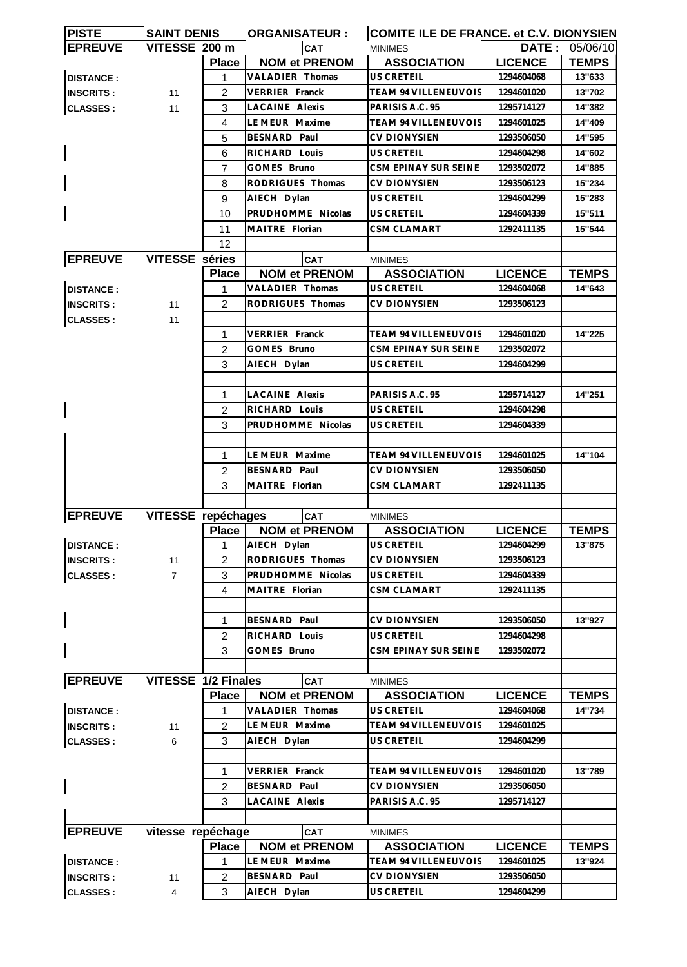| <b>PISTE</b>     | <b>SAINT DENIS</b>    |                | <b>ORGANISATEUR:</b>  | COMITE ILE DE FRANCE. et C.V. DIONYSIEN |                |                       |
|------------------|-----------------------|----------------|-----------------------|-----------------------------------------|----------------|-----------------------|
| <b>EPREUVE</b>   | VITESSE 200 m         |                | <b>CAT</b>            | <b>MINIMES</b>                          |                | <b>DATE: 05/06/10</b> |
|                  |                       | <b>Place</b>   | <b>NOM et PRENOM</b>  | <b>ASSOCIATION</b>                      | <b>LICENCE</b> | <b>TEMPS</b>          |
| <b>DISTANCE:</b> |                       | 1              | VALADIER Thomas       | US CRETEIL                              | 1294604068     | 13"633                |
| <b>INSCRITS:</b> | 11                    | 2              | VERRIER Franck        | <b>TEAM 94 VILLENEUVOIS</b>             | 1294601020     | 13"702                |
| <b>CLASSES:</b>  | 11                    | 3              | <b>LACAINE Alexis</b> | PARISIS A.C. 95                         | 1295714127     | 14"382                |
|                  |                       | 4              | LE MEUR Maxime        | <b>TEAM 94 VILLENEUVOIS</b>             | 1294601025     | 14"409                |
|                  |                       | 5              | BESNARD Paul          | <b>CV DIONYSIEN</b>                     | 1293506050     | 14"595                |
|                  |                       | 6              | RICHARD Louis         | US CRETEIL                              | 1294604298     | 14"602                |
|                  |                       | 7              | GOMES Bruno           | CSM EPINAY SUR SEINE                    | 1293502072     | 14"885                |
|                  |                       | 8              | RODRIGUES Thomas      | <b>CV DIONYSIEN</b>                     | 1293506123     | 15"234                |
|                  |                       | 9              | AIECH Dylan           | US CRETEIL                              | 1294604299     | 15"283                |
|                  |                       | 10             | PRUDHOMME Nicolas     | <b>US CRETEIL</b>                       | 1294604339     | 15"511                |
|                  |                       | 11             | MAITRE Florian        | CSM CLAMART                             |                | 15"544                |
|                  |                       |                |                       |                                         | 1292411135     |                       |
|                  |                       | 12             |                       |                                         |                |                       |
| <b>EPREUVE</b>   | <b>VITESSE</b> séries |                | <b>CAT</b>            | <b>MINIMES</b>                          |                |                       |
|                  |                       | <b>Place</b>   | <b>NOM et PRENOM</b>  | <b>ASSOCIATION</b>                      | <b>LICENCE</b> | <b>TEMPS</b>          |
| <b>DISTANCE:</b> |                       | 1              | VALADIER Thomas       | US CRETEIL                              | 1294604068     | 14"643                |
| <b>INSCRITS:</b> | 11                    | $\mathcal{P}$  | RODRIGUES Thomas      | CV DIONYSIEN                            | 1293506123     |                       |
| <b>CLASSES:</b>  | 11                    |                |                       |                                         |                |                       |
|                  |                       | 1              | VERRIER Franck        | TEAM 94 VILLENEUVOIS                    | 1294601020     | 14"225                |
|                  |                       | 2              | GOMES Bruno           | CSM EPINAY SUR SEINE                    | 1293502072     |                       |
|                  |                       | 3              | AIECH Dylan           | US CRETEIL                              | 1294604299     |                       |
|                  |                       |                |                       |                                         |                |                       |
|                  |                       | $\mathbf 1$    | <b>LACAINE Alexis</b> | PARISIS A.C. 95                         | 1295714127     | 14"251                |
|                  |                       | $\overline{c}$ | RICHARD Louis         | US CRETEIL                              | 1294604298     |                       |
|                  |                       | 3              | PRUDHOMME Nicolas     | US CRETEIL                              | 1294604339     |                       |
|                  |                       |                |                       |                                         |                |                       |
|                  |                       | 1              | LE MEUR Maxime        | <b>TEAM 94 VILLENEUVOIS</b>             | 1294601025     | 14"104                |
|                  |                       | $\overline{2}$ | BESNARD Paul          | <b>CV DIONYSIEN</b>                     | 1293506050     |                       |
|                  |                       |                | MAITRE Florian        |                                         |                |                       |
|                  |                       | 3              |                       | CSM CLAMART                             | 1292411135     |                       |
|                  |                       |                |                       |                                         |                |                       |
| <b>EPREUVE</b>   | VITESSE repéchages    |                | <b>CAT</b>            | <b>MINIMES</b>                          |                |                       |
|                  |                       | <b>Place</b>   | <b>NOM et PRENOM</b>  | <b>ASSOCIATION</b>                      | <b>LICENCE</b> | <b>TEMPS</b>          |
| <b>DISTANCE:</b> |                       |                | AIECH Dylan           | US CRETEIL                              | 1294604299     | 13"875                |
| <b>INSCRITS:</b> | 11                    | 2              | RODRIGUES Thomas      | <b>CV DIONYSIEN</b>                     | 1293506123     |                       |
| <b>CLASSES:</b>  | $\overline{7}$        | 3              | PRUDHOMME Nicolas     | US CRETEIL                              | 1294604339     |                       |
|                  |                       | 4              | MAITRE Florian        | <b>CSM CLAMART</b>                      | 1292411135     |                       |
|                  |                       |                |                       |                                         |                |                       |
|                  |                       | 1              | <b>BESNARD Paul</b>   | <b>CV DIONYSIEN</b>                     | 1293506050     | 13"927                |
|                  |                       | 2              | RICHARD Louis         | US CRETEIL                              | 1294604298     |                       |
|                  |                       | 3              | GOMES Bruno           | CSM EPINAY SUR SEINE                    | 1293502072     |                       |
|                  |                       |                |                       |                                         |                |                       |
| <b>EPREUVE</b>   | VITESSE 1/2 Finales   |                | CAT                   | <b>MINIMES</b>                          |                |                       |
|                  |                       | <b>Place</b>   | <b>NOM et PRENOM</b>  | <b>ASSOCIATION</b>                      | <b>LICENCE</b> | <b>TEMPS</b>          |
| <b>DISTANCE:</b> |                       | 1              | VALADIER Thomas       | US CRETEIL                              | 1294604068     | 14"734                |
| <b>INSCRITS:</b> | 11                    | $\overline{2}$ | LE MEUR Maxime        | <b>TEAM 94 VILLENEUVOIS</b>             | 1294601025     |                       |
| <b>CLASSES:</b>  | 6                     | 3              | AIECH Dylan           | US CRETEIL                              | 1294604299     |                       |
|                  |                       |                |                       |                                         |                |                       |
|                  |                       | 1              | VERRIER Franck        | TEAM 94 VILLENEUVOIS                    | 1294601020     | 13"789                |
|                  |                       |                |                       |                                         |                |                       |
|                  |                       | 2              | BESNARD Paul          | CV DIONYSIEN                            | 1293506050     |                       |
|                  |                       | 3              | LACAINE Alexis        | PARISIS A.C. 95                         | 1295714127     |                       |
|                  |                       |                |                       |                                         |                |                       |
| <b>EPREUVE</b>   | vitesse repéchage     |                | <b>CAT</b>            | <b>MINIMES</b>                          |                |                       |
|                  |                       | <b>Place</b>   | <b>NOM et PRENOM</b>  | <b>ASSOCIATION</b>                      | <b>LICENCE</b> | <b>TEMPS</b>          |
| <b>DISTANCE:</b> |                       | 1              | LE MEUR Maxime        | TEAM 94 VILLENEUVOIS                    | 1294601025     | 13"924                |
| <b>INSCRITS:</b> | 11                    | 2              | BESNARD Paul          | <b>CV DIONYSIEN</b>                     | 1293506050     |                       |
| <b>CLASSES:</b>  | 4                     | 3              | AIECH Dylan           | US CRETEIL                              | 1294604299     |                       |
|                  |                       |                |                       |                                         |                |                       |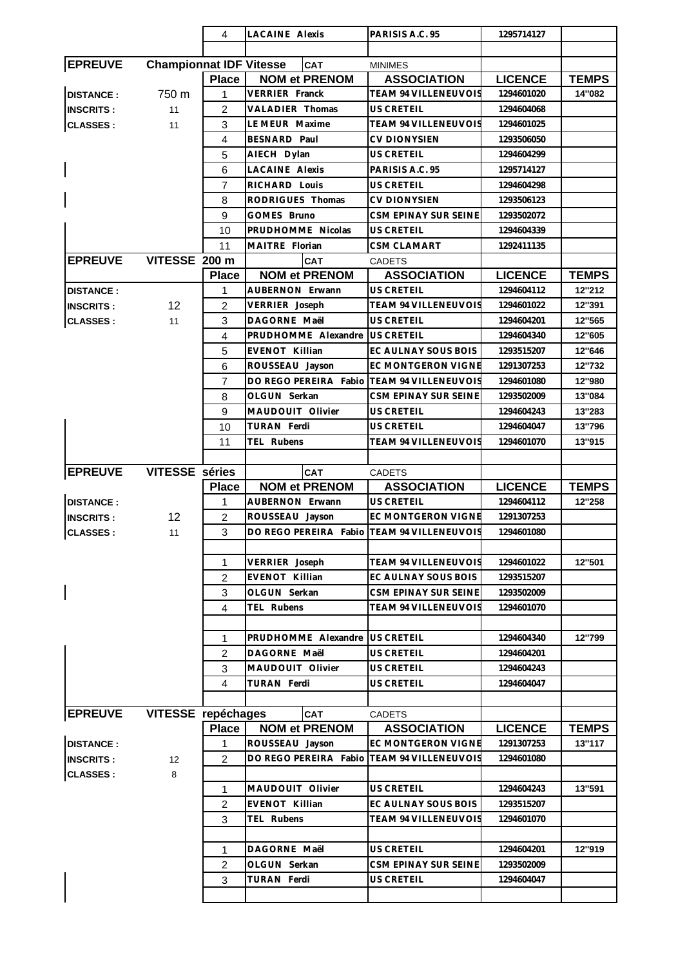|                  |                                | 4              | <b>LACAINE Alexis</b>                      | PARISIS A.C. 95             | 1295714127     |              |
|------------------|--------------------------------|----------------|--------------------------------------------|-----------------------------|----------------|--------------|
|                  |                                |                |                                            |                             |                |              |
| <b>EPREUVE</b>   | <b>Championnat IDF Vitesse</b> |                | CAT                                        | <b>MINIMES</b>              |                |              |
|                  |                                | <b>Place</b>   | <b>NOM et PRENOM</b>                       | <b>ASSOCIATION</b>          | <b>LICENCE</b> | <b>TEMPS</b> |
| <b>DISTANCE:</b> | 750 m                          | 1              | VERRIER Franck                             | TEAM 94 VILLENEUVOIS        | 1294601020     | 14"082       |
| <b>INSCRITS:</b> | 11                             | $\overline{2}$ | <b>VALADIER Thomas</b>                     | <b>US CRETEIL</b>           | 1294604068     |              |
| <b>CLASSES:</b>  | 11                             | 3              | LE MEUR Maxime                             | <b>TEAM 94 VILLENEUVOIS</b> | 1294601025     |              |
|                  |                                | 4              | BESNARD Paul                               | <b>CV DIONYSIEN</b>         | 1293506050     |              |
|                  |                                | 5              | AIECH Dylan                                | US CRETEIL                  | 1294604299     |              |
|                  |                                | 6              | <b>LACAINE Alexis</b>                      | PARISIS A.C. 95             | 1295714127     |              |
|                  |                                | $\overline{7}$ | RICHARD Louis                              | <b>US CRETEIL</b>           | 1294604298     |              |
|                  |                                | 8              | RODRIGUES Thomas                           | <b>CV DIONYSIEN</b>         | 1293506123     |              |
|                  |                                | 9              | GOMES Bruno                                | <b>CSM EPINAY SUR SEINE</b> | 1293502072     |              |
|                  |                                |                | PRUDHOMME Nicolas                          |                             |                |              |
|                  |                                | 10             |                                            | US CRETEIL                  | 1294604339     |              |
|                  |                                | 11             | MAITRE Florian                             | CSM CLAMART                 | 1292411135     |              |
| <b>EPREUVE</b>   | VITESSE 200 m                  |                | <b>CAT</b>                                 | <b>CADETS</b>               |                |              |
|                  |                                | <b>Place</b>   | <b>NOM et PRENOM</b>                       | <b>ASSOCIATION</b>          | <b>LICENCE</b> | <b>TEMPS</b> |
| <b>DISTANCE:</b> |                                | 1              | AUBERNON Erwann                            | <b>US CRETEIL</b>           | 1294604112     | 12"212       |
| <b>INSCRITS:</b> | 12 <sup>2</sup>                | $\overline{2}$ | VERRIER Joseph                             | <b>TEAM 94 VILLENEUVOIS</b> | 1294601022     | 12"391       |
| <b>CLASSES:</b>  | 11                             | 3              | DAGORNE Maël                               | US CRETEIL                  | 1294604201     | 12"565       |
|                  |                                | $\overline{4}$ | PRUDHOMME Alexandre                        | <b>US CRETEIL</b>           | 1294604340     | 12"605       |
|                  |                                | 5              | <b>EVENOT Killian</b>                      | EC AULNAY SOUS BOIS         | 1293515207     | 12"646       |
|                  |                                | 6              | ROUSSEAU Jayson                            | EC MONTGERON VIGNE          | 1291307253     | 12"732       |
|                  |                                | $\overline{7}$ | DO REGO PEREIRA Fabio TEAM 94 VILLENEUVOIS |                             | 1294601080     | 12"980       |
|                  |                                | 8              | OLGUN Serkan                               | CSM EPINAY SUR SEINE        | 1293502009     | 13"084       |
|                  |                                | 9              | MAUDOUIT Olivier                           | US CRETEIL                  | 1294604243     | 13"283       |
|                  |                                | 10             | TURAN Ferdi                                | US CRETEIL                  | 1294604047     | 13"796       |
|                  |                                | 11             | TEL Rubens                                 | <b>TEAM 94 VILLENEUVOIS</b> | 1294601070     | 13"915       |
|                  |                                |                |                                            |                             |                |              |
| <b>EPREUVE</b>   | <b>VITESSE</b> séries          |                | <b>CAT</b>                                 | <b>CADETS</b>               |                |              |
|                  |                                | <b>Place</b>   | <b>NOM et PRENOM</b>                       | <b>ASSOCIATION</b>          | <b>LICENCE</b> | <b>TEMPS</b> |
| <b>DISTANCE:</b> |                                | $\mathbf{1}$   | AUBERNON Erwann                            | <b>US CRETEIL</b>           | 1294604112     | 12"258       |
| <b>INSCRITS:</b> | 12 <sup>°</sup>                | $\overline{2}$ | ROUSSEAU Jayson                            | EC MONTGERON VIGNE          | 1291307253     |              |
|                  |                                |                | DO REGO PEREIRA Fabio                      | <b>TEAM 94 VILLENEUVOIS</b> | 1294601080     |              |
|                  |                                |                |                                            |                             |                |              |
| <b>CLASSES:</b>  | 11                             | 3              |                                            |                             |                |              |
|                  |                                |                |                                            |                             |                |              |
|                  |                                | 1              | VERRIER Joseph                             | TEAM 94 VILLENEUVOIS        | 1294601022     | 12"501       |
|                  |                                | $\overline{2}$ | <b>EVENOT Killian</b>                      | EC AULNAY SOUS BOIS         | 1293515207     |              |
|                  |                                | 3              | OLGUN Serkan                               | CSM EPINAY SUR SEINE        | 1293502009     |              |
|                  |                                | 4              | TEL Rubens                                 | <b>TEAM 94 VILLENEUVOIS</b> | 1294601070     |              |
|                  |                                |                |                                            |                             |                |              |
|                  |                                | 1              | PRUDHOMME Alexandre                        | <b>US CRETEIL</b>           | 1294604340     | 12"799       |
|                  |                                | $\overline{2}$ | DAGORNE Maël                               | <b>US CRETEIL</b>           | 1294604201     |              |
|                  |                                | 3              | MAUDOUIT Olivier                           | US CRETEIL                  | 1294604243     |              |
|                  |                                | 4              | TURAN Ferdi                                | US CRETEIL                  | 1294604047     |              |
|                  |                                |                |                                            |                             |                |              |
| <b>EPREUVE</b>   | VITESSE repéchages             |                | <b>CAT</b>                                 | <b>CADETS</b>               |                |              |
|                  |                                | <b>Place</b>   | <b>NOM et PRENOM</b>                       | <b>ASSOCIATION</b>          | <b>LICENCE</b> | <b>TEMPS</b> |
| <b>DISTANCE:</b> |                                | 1              | ROUSSEAU Jayson                            | <b>EC MONTGERON VIGNE</b>   | 1291307253     | 13"117       |
| <b>INSCRITS:</b> | 12                             | $\overline{2}$ | DO REGO PEREIRA Fabio                      | <b>TEAM 94 VILLENEUVOIS</b> | 1294601080     |              |
| <b>CLASSES:</b>  | 8                              |                |                                            |                             |                |              |
|                  |                                | 1              | MAUDOUIT Olivier                           | US CRETEIL                  | 1294604243     | 13"591       |
|                  |                                | 2              | EVENOT Killian                             | EC AULNAY SOUS BOIS         | 1293515207     |              |
|                  |                                | 3              | TEL Rubens                                 | TEAM 94 VILLENEUVOIS        | 1294601070     |              |
|                  |                                |                |                                            |                             |                |              |
|                  |                                | 1              | DAGORNE Maël                               | <b>US CRETEIL</b>           | 1294604201     | 12"919       |
|                  |                                |                | OLGUN Serkan                               | CSM EPINAY SUR SEINE        | 1293502009     |              |
|                  |                                | $\overline{c}$ |                                            |                             |                |              |
|                  |                                | 3              | TURAN Ferdi                                | US CRETEIL                  | 1294604047     |              |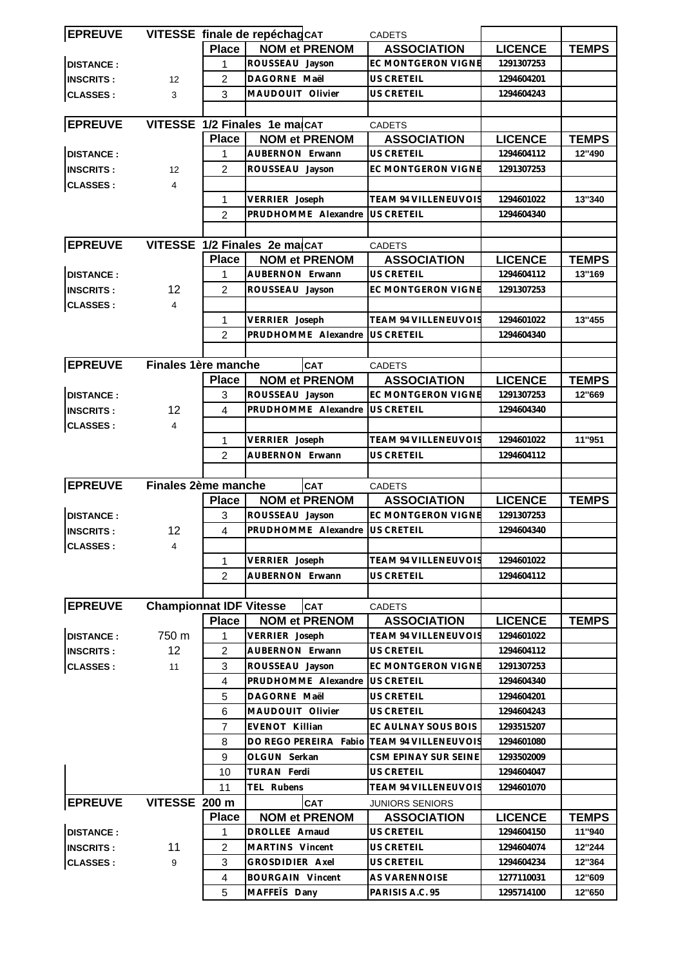| <b>EPREUVE</b>   |                                |                | VITESSE finale de repéchagCAT | <b>CADETS</b>                             |                |              |
|------------------|--------------------------------|----------------|-------------------------------|-------------------------------------------|----------------|--------------|
|                  |                                | <b>Place</b>   | <b>NOM et PRENOM</b>          | <b>ASSOCIATION</b>                        | <b>LICENCE</b> | <b>TEMPS</b> |
| <b>DISTANCE:</b> |                                | 1              | ROUSSEAU Jayson               | <b>EC MONTGERON VIGNE</b>                 | 1291307253     |              |
| <b>INSCRITS:</b> | 12                             | $\overline{2}$ | DAGORNE Maël                  | US CRETEIL                                | 1294604201     |              |
| <b>CLASSES:</b>  | 3                              | 3              | MAUDOUIT Olivier              | US CRETEIL                                | 1294604243     |              |
|                  |                                |                |                               |                                           |                |              |
| <b>EPREUVE</b>   |                                |                | VITESSE 1/2 Finales 1e ma CAT | <b>CADETS</b>                             |                |              |
|                  |                                | <b>Place</b>   | <b>NOM et PRENOM</b>          | <b>ASSOCIATION</b>                        | <b>LICENCE</b> | <b>TEMPS</b> |
| <b>DISTANCE:</b> |                                | 1              | AUBERNON Erwann               | <b>US CRETEIL</b>                         | 1294604112     | 12"490       |
| <b>INSCRITS:</b> | 12                             | 2              | ROUSSEAU Jayson               | EC MONTGERON VIGNE                        | 1291307253     |              |
| <b>CLASSES:</b>  | $\overline{4}$                 |                |                               |                                           |                |              |
|                  |                                | 1              | VERRIER Joseph                | TEAM 94 VILLENEUVOIS                      | 1294601022     | 13"340       |
|                  |                                | 2              | PRUDHOMME Alexandre           | <b>US CRETEIL</b>                         | 1294604340     |              |
|                  |                                |                |                               |                                           |                |              |
| <b>EPREUVE</b>   |                                |                | VITESSE 1/2 Finales 2e macAT  | <b>CADETS</b>                             |                |              |
|                  |                                | <b>Place</b>   | <b>NOM et PRENOM</b>          | <b>ASSOCIATION</b>                        | <b>LICENCE</b> | <b>TEMPS</b> |
| <b>DISTANCE:</b> |                                | 1              | <b>AUBERNON Erwann</b>        | <b>US CRETEIL</b>                         | 1294604112     | 13"169       |
| <b>INSCRITS:</b> | 12                             | $\overline{2}$ | ROUSSEAU Jayson               | <b>EC MONTGERON VIGNE</b>                 | 1291307253     |              |
| <b>CLASSES:</b>  | $\overline{4}$                 |                |                               |                                           |                |              |
|                  |                                | 1              | VERRIER Joseph                | <b>TEAM 94 VILLENEUVOIS</b>               | 1294601022     | 13"455       |
|                  |                                | $\overline{2}$ | PRUDHOMME Alexandre           | <b>US CRETEIL</b>                         | 1294604340     |              |
|                  |                                |                |                               |                                           |                |              |
| <b>EPREUVE</b>   | Finales 1ère manche            |                | <b>CAT</b>                    | <b>CADETS</b>                             |                |              |
|                  |                                | <b>Place</b>   | <b>NOM et PRENOM</b>          | <b>ASSOCIATION</b>                        | <b>LICENCE</b> | <b>TEMPS</b> |
| <b>DISTANCE:</b> |                                | 3              | ROUSSEAU Jayson               | EC MONTGERON VIGNE                        | 1291307253     | 12"669       |
| <b>INSCRITS:</b> | 12                             | 4              | PRUDHOMME Alexandre           | US CRETEIL                                | 1294604340     |              |
| <b>CLASSES:</b>  | $\overline{4}$                 |                |                               |                                           |                |              |
|                  |                                | 1              | VERRIER Joseph                | TEAM 94 VILLENEUVOIS                      | 1294601022     | 11"951       |
|                  |                                | 2              | AUBERNON Erwann               | <b>US CRETEIL</b>                         | 1294604112     |              |
|                  |                                |                |                               |                                           |                |              |
| <b>EPREUVE</b>   | Finales 2ème manche            |                | CAT                           | <b>CADETS</b>                             |                |              |
|                  |                                | <b>Place</b>   | <b>NOM et PRENOM</b>          | <b>ASSOCIATION</b>                        | <b>LICENCE</b> | <b>TEMPS</b> |
| <b>DISTANCE:</b> |                                | 3              | ROUSSEAU Jayson               | EC MONTGERON VIGNE                        | 1291307253     |              |
| <b>INSCRITS:</b> | 12                             | $\overline{4}$ | PRUDHOMME Alexandre           | <b>US CRETEIL</b>                         | 1294604340     |              |
| <b>CLASSES:</b>  | $\overline{4}$                 |                |                               |                                           |                |              |
|                  |                                | 1              | VERRIER Joseph                | <b>TEAM 94 VILLENEUVOIS</b>               | 1294601022     |              |
|                  |                                | 2              | AUBERNON Erwann               | US CRETEIL                                | 1294604112     |              |
|                  |                                |                |                               |                                           |                |              |
| <b>EPREUVE</b>   | <b>Championnat IDF Vitesse</b> |                | <b>CAT</b>                    | <b>CADETS</b>                             |                |              |
|                  |                                | <b>Place</b>   | <b>NOM et PRENOM</b>          | <b>ASSOCIATION</b>                        | <b>LICENCE</b> | <b>TEMPS</b> |
| <b>DISTANCE:</b> | 750 m                          | 1              | VERRIER Joseph                | TEAM 94 VILLENEUVOIS                      | 1294601022     |              |
| <b>INSCRITS:</b> | 12                             | $\overline{c}$ | AUBERNON Erwann               | US CRETEIL                                | 1294604112     |              |
| <b>CLASSES:</b>  | 11                             | 3              | ROUSSEAU Jayson               | <b>EC MONTGERON VIGNE</b>                 | 1291307253     |              |
|                  |                                | $\overline{4}$ | PRUDHOMME Alexandre           | US CRETEIL                                | 1294604340     |              |
|                  |                                | 5              | DAGORNE Maël                  | US CRETEIL                                | 1294604201     |              |
|                  |                                | 6              | MAUDOUIT Olivier              | US CRETEIL                                | 1294604243     |              |
|                  |                                | 7              | EVENOT Killian                | EC AULNAY SOUS BOIS                       | 1293515207     |              |
|                  |                                |                | DO REGO PEREIRA Fabio         | <b>TEAM 94 VILLENEUVOIS</b>               | 1294601080     |              |
|                  |                                | 8              |                               |                                           |                |              |
|                  |                                | 9              | OLGUN Serkan<br>TURAN Ferdi   | CSM EPINAY SUR SEINE<br><b>US CRETEIL</b> | 1293502009     |              |
|                  |                                | 10             |                               | TEAM 94 VILLENEUVOIS                      | 1294604047     |              |
|                  |                                | 11             | TEL Rubens                    |                                           | 1294601070     |              |
| <b>EPREUVE</b>   | VITESSE 200 m                  |                | CAT                           | <b>JUNIORS SENIORS</b>                    |                |              |
|                  |                                | <b>Place</b>   | <b>NOM et PRENOM</b>          | <b>ASSOCIATION</b>                        | <b>LICENCE</b> | <b>TEMPS</b> |
| <b>DISTANCE:</b> |                                | 1              | DROLLEE Arnaud                | US CRETEIL                                | 1294604150     | 11"940       |
| <b>INSCRITS:</b> | 11                             | $\overline{c}$ | MARTINS Vincent               | US CRETEIL                                | 1294604074     | 12"244       |
| <b>CLASSES:</b>  | 9                              | 3              | GROSDIDIER Axel               | US CRETEIL                                | 1294604234     | 12"364       |
|                  |                                | $\overline{4}$ | <b>BOURGAIN Vincent</b>       | AS VARENNOISE                             | 1277110031     | 12"609       |
|                  |                                | 5              | MAFFETS Dany                  | PARISIS A.C. 95                           | 1295714100     | 12"650       |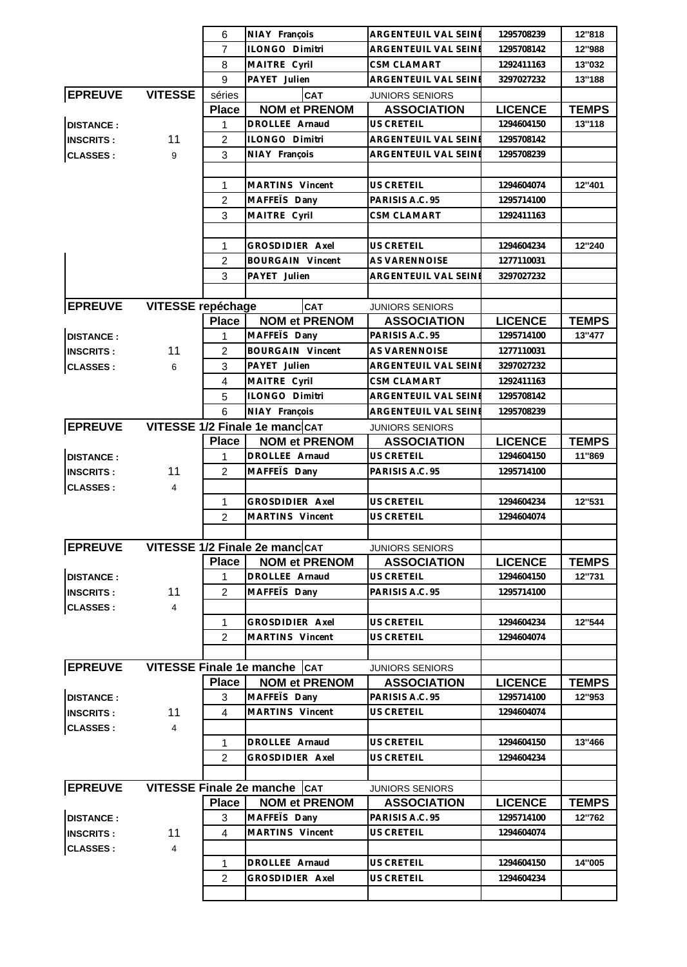|                  |                          | 6              | NIAY François                          | ARGENTEUIL VAL SEINE        | 1295708239     | 12"818       |
|------------------|--------------------------|----------------|----------------------------------------|-----------------------------|----------------|--------------|
|                  |                          | $\overline{7}$ | ILONGO Dimitri                         | <b>ARGENTEUIL VAL SEINE</b> | 1295708142     | 12"988       |
|                  |                          | 8              | MAITRE Cyril                           | <b>CSM CLAMART</b>          | 1292411163     | 13"032       |
|                  |                          | 9              | PAYET Julien                           | ARGENTEUIL VAL SEINE        | 3297027232     | 13"188       |
| <b>EPREUVE</b>   | <b>VITESSE</b>           | séries         | CAT                                    | <b>JUNIORS SENIORS</b>      |                |              |
|                  |                          | <b>Place</b>   | <b>NOM et PRENOM</b>                   | <b>ASSOCIATION</b>          | <b>LICENCE</b> | <b>TEMPS</b> |
| <b>DISTANCE:</b> |                          | 1              | DROLLEE Arnaud                         | <b>US CRETEIL</b>           | 1294604150     | 13"118       |
| <b>INSCRITS:</b> | 11                       | 2              | ILONGO Dimitri                         | ARGENTEUIL VAL SEINE        | 1295708142     |              |
| <b>CLASSES:</b>  | 9                        | 3              | NIAY François                          | ARGENTEUIL VAL SEINI        | 1295708239     |              |
|                  |                          |                |                                        |                             |                |              |
|                  |                          |                | MARTINS Vincent                        |                             |                | 12"401       |
|                  |                          | 1              |                                        | <b>US CRETEIL</b>           | 1294604074     |              |
|                  |                          | $\overline{2}$ | MAFFETS Dany                           | PARISIS A.C. 95             | 1295714100     |              |
|                  |                          | 3              | MAITRE Cyril                           | CSM CLAMART                 | 1292411163     |              |
|                  |                          |                |                                        |                             |                |              |
|                  |                          | 1              | GROSDIDIER Axel                        | <b>US CRETEIL</b>           | 1294604234     | 12"240       |
|                  |                          | $\overline{2}$ | <b>BOURGAIN Vincent</b>                | AS VARENNOISE               | 1277110031     |              |
|                  |                          | 3              | PAYET Julien                           | ARGENTEUIL VAL SEINE        | 3297027232     |              |
|                  |                          |                |                                        |                             |                |              |
| <b>EPREUVE</b>   | <b>VITESSE repéchage</b> |                | <b>CAT</b>                             | <b>JUNIORS SENIORS</b>      |                |              |
|                  |                          | <b>Place</b>   | <b>NOM et PRENOM</b>                   | <b>ASSOCIATION</b>          | <b>LICENCE</b> | <b>TEMPS</b> |
| <b>DISTANCE:</b> |                          | 1              | MAFFETS Dany                           | PARISIS A.C. 95             | 1295714100     | 13"477       |
| <b>INSCRITS:</b> | 11                       | $\overline{2}$ | <b>BOURGAIN Vincent</b>                | <b>AS VARENNOISE</b>        | 1277110031     |              |
| <b>CLASSES:</b>  | 6                        | 3              | PAYET Julien                           | ARGENTEUIL VAL SEINE        | 3297027232     |              |
|                  |                          | 4              | MAITRE Cyril                           | <b>CSM CLAMART</b>          | 1292411163     |              |
|                  |                          | 5              | ILONGO Dimitri                         | ARGENTEUIL VAL SEINE        | 1295708142     |              |
|                  |                          | 6              | NIAY François                          | ARGENTEUIL VAL SEINE        | 1295708239     |              |
|                  |                          |                | EPREUVE VITESSE 1/2 Finale 1e manc CAT | <b>JUNIORS SENIORS</b>      |                |              |
|                  |                          | <b>Place</b>   | <b>NOM et PRENOM</b>                   | <b>ASSOCIATION</b>          | <b>LICENCE</b> | <b>TEMPS</b> |
| <b>DISTANCE:</b> |                          | $\mathbf{1}$   | DROLLEE Arnaud                         | US CRETEIL                  | 1294604150     | 11"869       |
| <b>INSCRITS:</b> | 11                       | $\overline{2}$ | MAFFETS Dany                           | PARISIS A.C. 95             | 1295714100     |              |
| <b>CLASSES:</b>  | 4                        |                |                                        |                             |                |              |
|                  |                          | $\mathbf{1}$   | GROSDIDIER Axel                        | <b>US CRETEIL</b>           | 1294604234     | 12"531       |
|                  |                          | $\overline{2}$ | MARTINS Vincent                        | <b>US CRETEIL</b>           | 1294604074     |              |
|                  |                          |                |                                        |                             |                |              |
|                  |                          |                | EPREUVE VITESSE 1/2 Finale 2e manc CAT | JUNIORS SENIORS             |                |              |
|                  |                          | Place          | <b>NOM et PRENOM</b>                   | <b>ASSOCIATION</b>          | <b>LICENCE</b> | <b>TEMPS</b> |
| <b>DISTANCE:</b> |                          | 1              | DROLLEE Arnaud                         | US CRETEIL                  | 1294604150     | 12"731       |
| <b>INSCRITS:</b> | 11                       | $\overline{2}$ | MAFFETS Dany                           | PARISIS A.C. 95             | 1295714100     |              |
| <b>CLASSES:</b>  | $\overline{4}$           |                |                                        |                             |                |              |
|                  |                          | $\mathbf{1}$   | GROSDIDIER Axel                        | US CRETEIL                  | 1294604234     | 12"544       |
|                  |                          | 2              | MARTINS Vincent                        | <b>US CRETEIL</b>           | 1294604074     |              |
|                  |                          |                |                                        |                             |                |              |
| <b>EPREUVE</b>   |                          |                | VITESSE Finale 1e manche   CAT         | <b>JUNIORS SENIORS</b>      |                |              |
|                  |                          | <b>Place</b>   | <b>NOM et PRENOM</b>                   | <b>ASSOCIATION</b>          | <b>LICENCE</b> | <b>TEMPS</b> |
| <b>DISTANCE:</b> |                          | 3              | MAFFETS Dany                           | PARISIS A.C. 95             | 1295714100     | 12"953       |
| <b>INSCRITS:</b> | 11                       | 4              | MARTINS Vincent                        | US CRETEIL                  | 1294604074     |              |
| <b>CLASSES:</b>  | $\overline{4}$           |                |                                        |                             |                |              |
|                  |                          | 1              | DROLLEE Arnaud                         | US CRETEIL                  | 1294604150     | 13"466       |
|                  |                          | 2              | GROSDIDIER Axel                        | <b>US CRETEIL</b>           | 1294604234     |              |
|                  |                          |                |                                        |                             |                |              |
| <b>EPREUVE</b>   |                          |                | VITESSE Finale 2e manche   CAT         | <b>JUNIORS SENIORS</b>      |                |              |
|                  |                          | <b>Place</b>   | <b>NOM et PRENOM</b>                   | <b>ASSOCIATION</b>          | <b>LICENCE</b> | <b>TEMPS</b> |
| <b>DISTANCE:</b> |                          | 3              | MAFFETS Dany                           | PARISIS A.C. 95             | 1295714100     | 12"762       |
| <b>INSCRITS:</b> | 11                       | $\overline{4}$ | MARTINS Vincent                        | US CRETEIL                  | 1294604074     |              |
| <b>CLASSES:</b>  | $\overline{4}$           |                |                                        |                             |                |              |
|                  |                          | $\mathbf{1}$   | DROLLEE Arnaud                         | US CRETEIL                  | 1294604150     | 14"005       |
|                  |                          |                |                                        |                             |                |              |
|                  |                          | 2              | GROSDIDIER Axel                        | <b>US CRETEIL</b>           | 1294604234     |              |
|                  |                          |                |                                        |                             |                |              |